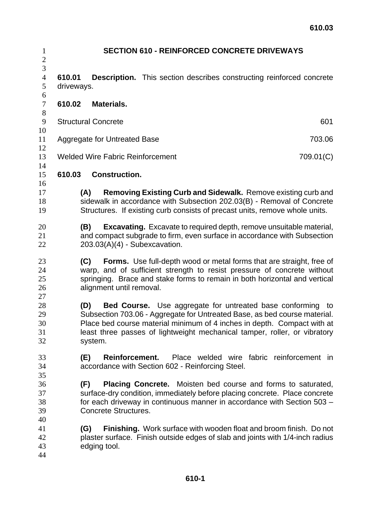| $\mathbf{1}$<br>$\overline{c}$ | <b>SECTION 610 - REINFORCED CONCRETE DRIVEWAYS</b>                                                                                                                                                                                                                                                                       |           |  |
|--------------------------------|--------------------------------------------------------------------------------------------------------------------------------------------------------------------------------------------------------------------------------------------------------------------------------------------------------------------------|-----------|--|
| 3<br>$\overline{4}$<br>5<br>6  | 610.01<br><b>Description.</b> This section describes constructing reinforced concrete<br>driveways.                                                                                                                                                                                                                      |           |  |
| $\tau$<br>$8\,$                | <b>Materials.</b><br>610.02                                                                                                                                                                                                                                                                                              |           |  |
| $\boldsymbol{9}$<br>10         | <b>Structural Concrete</b>                                                                                                                                                                                                                                                                                               | 601       |  |
| 11<br>12                       | Aggregate for Untreated Base                                                                                                                                                                                                                                                                                             | 703.06    |  |
| 13<br>14                       | <b>Welded Wire Fabric Reinforcement</b>                                                                                                                                                                                                                                                                                  | 709.01(C) |  |
| 15<br>16                       | 610.03<br><b>Construction.</b>                                                                                                                                                                                                                                                                                           |           |  |
| 17<br>18<br>19                 | <b>Removing Existing Curb and Sidewalk.</b> Remove existing curb and<br>(A)<br>sidewalk in accordance with Subsection 202.03(B) - Removal of Concrete<br>Structures. If existing curb consists of precast units, remove whole units.                                                                                     |           |  |
| 20<br>21<br>22                 | <b>Excavating.</b> Excavate to required depth, remove unsuitable material,<br>(B)<br>and compact subgrade to firm, even surface in accordance with Subsection<br>$203.03(A)(4)$ - Subexcavation.                                                                                                                         |           |  |
| 23<br>24<br>25<br>26<br>27     | Forms. Use full-depth wood or metal forms that are straight, free of<br>(C)<br>warp, and of sufficient strength to resist pressure of concrete without<br>springing. Brace and stake forms to remain in both horizontal and vertical<br>alignment until removal.                                                         |           |  |
| 28<br>29<br>30<br>31<br>32     | (D)<br><b>Bed Course.</b> Use aggregate for untreated base conforming to<br>Subsection 703.06 - Aggregate for Untreated Base, as bed course material.<br>Place bed course material minimum of 4 inches in depth. Compact with at<br>least three passes of lightweight mechanical tamper, roller, or vibratory<br>system. |           |  |
| 33<br>34<br>35                 | Place welded wire fabric reinforcement in<br>(E)<br>Reinforcement.<br>accordance with Section 602 - Reinforcing Steel.                                                                                                                                                                                                   |           |  |
| 36<br>37<br>38<br>39<br>40     | <b>Placing Concrete.</b> Moisten bed course and forms to saturated,<br>(F)<br>surface-dry condition, immediately before placing concrete. Place concrete<br>for each driveway in continuous manner in accordance with Section 503 -<br>Concrete Structures.                                                              |           |  |
| 41<br>42<br>43<br>44           | Finishing. Work surface with wooden float and broom finish. Do not<br>(G)<br>plaster surface. Finish outside edges of slab and joints with 1/4-inch radius<br>edging tool.                                                                                                                                               |           |  |